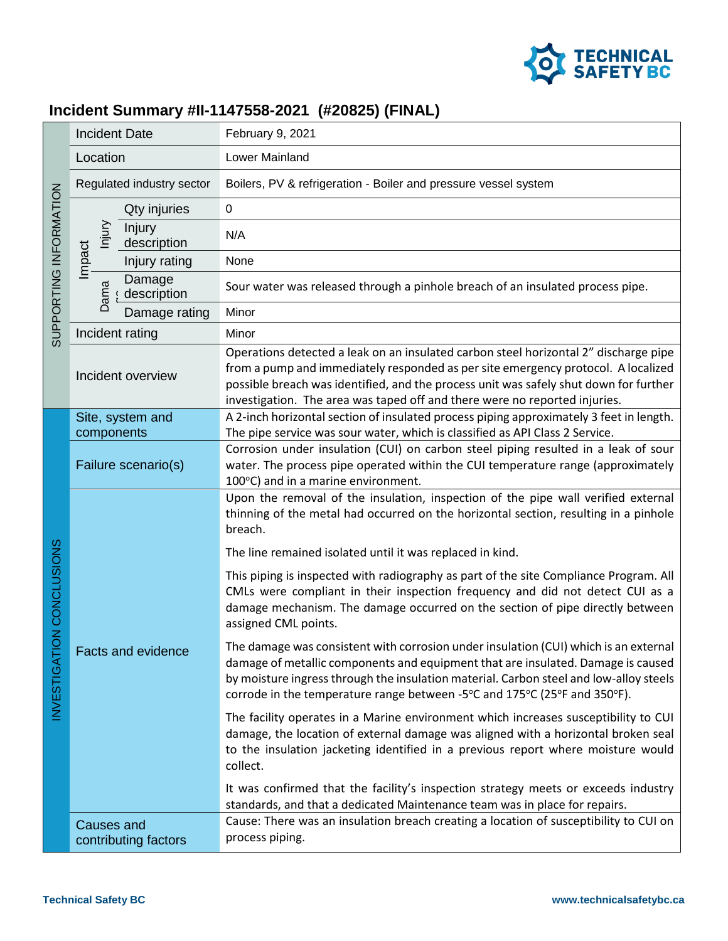

## **Incident Summary #II-1147558-2021 (#20825) (FINAL)**

| SUPPORTING INFORMATION                      | <b>Incident Date</b>                      | February 9, 2021                                                                                                                                                                                                                                                                                                                                 |
|---------------------------------------------|-------------------------------------------|--------------------------------------------------------------------------------------------------------------------------------------------------------------------------------------------------------------------------------------------------------------------------------------------------------------------------------------------------|
|                                             | Location                                  | Lower Mainland                                                                                                                                                                                                                                                                                                                                   |
|                                             | Regulated industry sector                 | Boilers, PV & refrigeration - Boiler and pressure vessel system                                                                                                                                                                                                                                                                                  |
|                                             | Qty injuries                              | 0                                                                                                                                                                                                                                                                                                                                                |
|                                             | lnjury<br>Injury<br>description           | N/A                                                                                                                                                                                                                                                                                                                                              |
|                                             | Impact<br>Injury rating                   | None                                                                                                                                                                                                                                                                                                                                             |
|                                             | Damage<br>Dama<br>description             | Sour water was released through a pinhole breach of an insulated process pipe.                                                                                                                                                                                                                                                                   |
|                                             | Damage rating                             | Minor                                                                                                                                                                                                                                                                                                                                            |
|                                             | Incident rating                           | Minor                                                                                                                                                                                                                                                                                                                                            |
|                                             | Incident overview                         | Operations detected a leak on an insulated carbon steel horizontal 2" discharge pipe<br>from a pump and immediately responded as per site emergency protocol. A localized<br>possible breach was identified, and the process unit was safely shut down for further<br>investigation. The area was taped off and there were no reported injuries. |
| <b>TON CONCLUSIONS</b><br><b>INVESTIGAT</b> | Site, system and                          | A 2-inch horizontal section of insulated process piping approximately 3 feet in length.                                                                                                                                                                                                                                                          |
|                                             | components<br>Failure scenario(s)         | The pipe service was sour water, which is classified as API Class 2 Service.<br>Corrosion under insulation (CUI) on carbon steel piping resulted in a leak of sour<br>water. The process pipe operated within the CUI temperature range (approximately<br>100°C) and in a marine environment.                                                    |
|                                             | <b>Facts and evidence</b>                 | Upon the removal of the insulation, inspection of the pipe wall verified external<br>thinning of the metal had occurred on the horizontal section, resulting in a pinhole<br>breach.                                                                                                                                                             |
|                                             |                                           | The line remained isolated until it was replaced in kind.                                                                                                                                                                                                                                                                                        |
|                                             |                                           | This piping is inspected with radiography as part of the site Compliance Program. All<br>CMLs were compliant in their inspection frequency and did not detect CUI as a<br>damage mechanism. The damage occurred on the section of pipe directly between<br>assigned CML points.                                                                  |
|                                             |                                           | The damage was consistent with corrosion under insulation (CUI) which is an external<br>damage of metallic components and equipment that are insulated. Damage is caused<br>by moisture ingress through the insulation material. Carbon steel and low-alloy steels<br>corrode in the temperature range between -5°C and 175°C (25°F and 350°F).  |
|                                             |                                           | The facility operates in a Marine environment which increases susceptibility to CUI<br>damage, the location of external damage was aligned with a horizontal broken seal<br>to the insulation jacketing identified in a previous report where moisture would<br>collect.                                                                         |
|                                             |                                           | It was confirmed that the facility's inspection strategy meets or exceeds industry<br>standards, and that a dedicated Maintenance team was in place for repairs.                                                                                                                                                                                 |
|                                             | <b>Causes and</b><br>contributing factors | Cause: There was an insulation breach creating a location of susceptibility to CUI on<br>process piping.                                                                                                                                                                                                                                         |